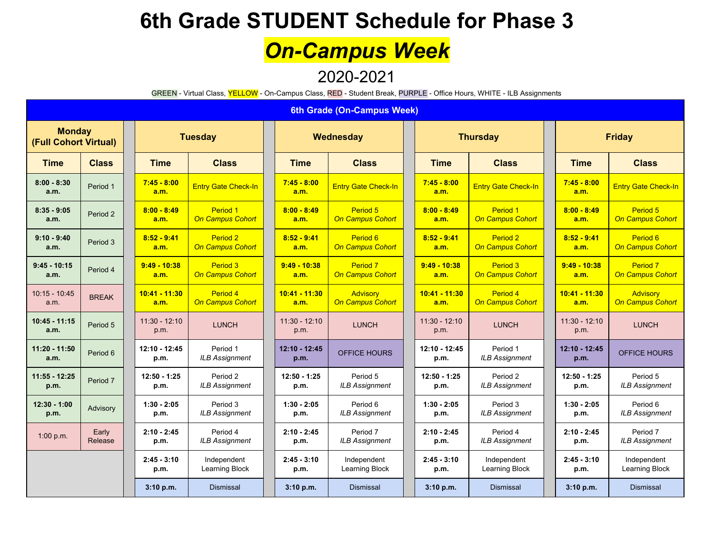# *On-Campus Week*

2020-2021

GREEN - Virtual Class, YELLOW - On-Campus Class, RED - Student Break, PURPLE - Office Hours, WHITE - ILB Assignments

#### **6th Grade (On-Campus Week)**

| <b>Monday</b><br>(Full Cohort Virtual) |                  |                         | <b>Tuesday</b>                      |  |                         | Wednesday                                      |  | <b>Thursday</b>         |                                     |  | <b>Friday</b>           |                                                |  |
|----------------------------------------|------------------|-------------------------|-------------------------------------|--|-------------------------|------------------------------------------------|--|-------------------------|-------------------------------------|--|-------------------------|------------------------------------------------|--|
| <b>Time</b>                            | <b>Class</b>     | <b>Time</b>             | <b>Class</b>                        |  | <b>Time</b>             | <b>Class</b>                                   |  | <b>Time</b>             | <b>Class</b>                        |  | <b>Time</b>             | <b>Class</b>                                   |  |
| $8:00 - 8:30$<br>a.m.                  | Period 1         | $7:45 - 8:00$<br>a.m.   | <b>Entry Gate Check-In</b>          |  | $7:45 - 8:00$<br>a.m.   | <b>Entry Gate Check-In</b>                     |  | $7:45 - 8:00$<br>a.m.   | <b>Entry Gate Check-In</b>          |  | $7:45 - 8:00$<br>a.m.   | <b>Entry Gate Check-In</b>                     |  |
| $8:35 - 9:05$<br>a.m.                  | Period 2         | $8:00 - 8:49$<br>a.m.   | Period 1<br><b>On Campus Cohort</b> |  | $8:00 - 8:49$<br>a.m.   | Period 5<br>On Campus Cohort                   |  | $8:00 - 8:49$<br>a.m.   | Period 1<br><b>On Campus Cohort</b> |  | $8:00 - 8:49$<br>a.m.   | Period 5<br><b>On Campus Cohort</b>            |  |
| $9:10 - 9:40$<br>a.m.                  | Period 3         | $8:52 - 9:41$<br>a.m.   | Period 2<br><b>On Campus Cohort</b> |  | $8:52 - 9:41$<br>a.m.   | Period 6<br><b>On Campus Cohort</b>            |  | $8:52 - 9:41$<br>a.m.   | Period 2<br><b>On Campus Cohort</b> |  | $8:52 - 9:41$<br>a.m.   | Period 6<br><b>On Campus Cohort</b>            |  |
| $9:45 - 10:15$<br>a.m.                 | Period 4         | $9:49 - 10:38$<br>a.m.  | Period 3<br><b>On Campus Cohort</b> |  | $9:49 - 10:38$<br>a.m.  | Period <sub>7</sub><br><b>On Campus Cohort</b> |  | $9:49 - 10:38$<br>a.m.  | Period 3<br><b>On Campus Cohort</b> |  | $9:49 - 10:38$<br>a.m.  | Period <sub>7</sub><br><b>On Campus Cohort</b> |  |
| $10:15 - 10:45$<br>a.m.                | <b>BREAK</b>     | $10:41 - 11:30$<br>a.m. | Period 4<br><b>On Campus Cohort</b> |  | $10:41 - 11:30$<br>a.m. | Advisory<br><b>On Campus Cohort</b>            |  | $10:41 - 11:30$<br>a.m. | Period 4<br><b>On Campus Cohort</b> |  | $10:41 - 11:30$<br>a.m. | <b>Advisory</b><br><b>On Campus Cohort</b>     |  |
| $10:45 - 11:15$<br>a.m.                | Period 5         | $11:30 - 12:10$<br>p.m. | <b>LUNCH</b>                        |  | $11:30 - 12:10$<br>p.m. | <b>LUNCH</b>                                   |  | $11:30 - 12:10$<br>p.m. | <b>LUNCH</b>                        |  | $11:30 - 12:10$<br>p.m. | <b>LUNCH</b>                                   |  |
| $11:20 - 11:50$<br>a.m.                | Period 6         | 12:10 - 12:45<br>p.m.   | Period 1<br><b>ILB Assignment</b>   |  | $12:10 - 12:45$<br>p.m. | OFFICE HOURS                                   |  | 12:10 - 12:45<br>p.m.   | Period 1<br><b>ILB Assignment</b>   |  | $12:10 - 12:45$<br>p.m. | OFFICE HOURS                                   |  |
| $11:55 - 12:25$<br>p.m.                | Period 7         | $12:50 - 1:25$<br>p.m.  | Period 2<br><b>ILB Assignment</b>   |  | $12:50 - 1:25$<br>p.m.  | Period 5<br><b>ILB Assignment</b>              |  | $12:50 - 1:25$<br>p.m.  | Period 2<br><b>ILB Assignment</b>   |  | $12:50 - 1:25$<br>p.m.  | Period 5<br><b>ILB Assignment</b>              |  |
| $12:30 - 1:00$<br>p.m.                 | Advisory         | $1:30 - 2:05$<br>p.m.   | Period 3<br><b>ILB Assignment</b>   |  | $1:30 - 2:05$<br>p.m.   | Period 6<br><b>ILB Assignment</b>              |  | $1:30 - 2:05$<br>p.m.   | Period 3<br><b>ILB Assignment</b>   |  | $1:30 - 2:05$<br>p.m.   | Period 6<br><b>ILB Assignment</b>              |  |
| 1:00 p.m.                              | Early<br>Release | $2:10 - 2:45$<br>p.m.   | Period 4<br><b>ILB Assignment</b>   |  | $2:10 - 2:45$<br>p.m.   | Period 7<br><b>ILB Assignment</b>              |  | $2:10 - 2:45$<br>p.m.   | Period 4<br><b>ILB Assignment</b>   |  | $2:10 - 2:45$<br>p.m.   | Period 7<br><b>ILB Assignment</b>              |  |
|                                        |                  | $2:45 - 3:10$<br>p.m.   | Independent<br>Learning Block       |  | $2:45 - 3:10$<br>p.m.   | Independent<br>Learning Block                  |  | $2:45 - 3:10$<br>p.m.   | Independent<br>Learning Block       |  | $2:45 - 3:10$<br>p.m.   | Independent<br>Learning Block                  |  |
|                                        |                  | 3:10 p.m.               | <b>Dismissal</b>                    |  | 3:10 p.m.               | <b>Dismissal</b>                               |  | 3:10 p.m.               | <b>Dismissal</b>                    |  | 3:10 p.m.               | <b>Dismissal</b>                               |  |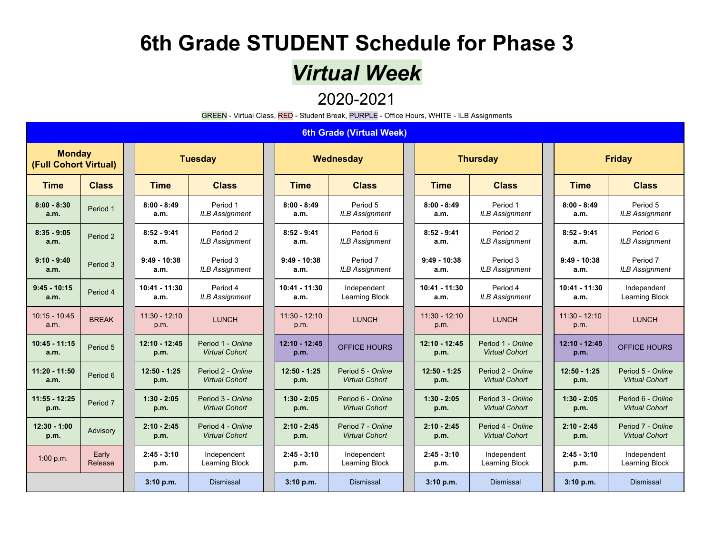### *Virtual Week*

#### 2020-2021

GREEN - Virtual Class, RED - Student Break, PURPLE - Office Hours, WHITE - ILB Assignments

#### **6th Grade (Virtual Week)**

| <b>Monday</b><br>(Full Cohort Virtual) |                  | <b>Tuesday</b>          |                                            | Wednesday               |                                            |  | <b>Thursday</b>         |                                            |  | <b>Friday</b>           |                                            |
|----------------------------------------|------------------|-------------------------|--------------------------------------------|-------------------------|--------------------------------------------|--|-------------------------|--------------------------------------------|--|-------------------------|--------------------------------------------|
| <b>Time</b>                            | <b>Class</b>     | <b>Time</b>             | <b>Class</b>                               | <b>Time</b>             | <b>Class</b>                               |  | <b>Time</b>             | <b>Class</b>                               |  | <b>Time</b>             | <b>Class</b>                               |
| $8:00 - 8:30$<br>a.m.                  | Period 1         | $8:00 - 8:49$<br>a.m.   | Period 1<br><b>ILB Assignment</b>          | $8:00 - 8:49$<br>a.m.   | Period 5<br><b>ILB Assignment</b>          |  | $8:00 - 8:49$<br>a.m.   | Period 1<br><b>ILB Assignment</b>          |  | $8:00 - 8:49$<br>a.m.   | Period 5<br><b>ILB Assignment</b>          |
| $8:35 - 9:05$<br>a.m.                  | Period 2         | $8:52 - 9:41$<br>a.m.   | Period 2<br><b>ILB Assignment</b>          | $8:52 - 9:41$<br>a.m.   | Period 6<br><b>ILB Assignment</b>          |  | $8:52 - 9:41$<br>a.m.   | Period 2<br><b>ILB Assignment</b>          |  | $8:52 - 9:41$<br>a.m.   | Period 6<br><b>ILB Assignment</b>          |
| $9:10 - 9:40$<br>a.m.                  | Period 3         | $9:49 - 10:38$<br>a.m.  | Period 3<br><b>ILB Assignment</b>          | $9:49 - 10:38$<br>a.m.  | Period 7<br><b>ILB Assignment</b>          |  | $9:49 - 10:38$<br>a.m.  | Period 3<br><b>ILB Assignment</b>          |  | $9:49 - 10:38$<br>a.m.  | Period 7<br><b>ILB Assignment</b>          |
| $9:45 - 10:15$<br>a.m.                 | Period 4         | $10:41 - 11:30$<br>a.m. | Period 4<br><b>ILB Assignment</b>          | $10:41 - 11:30$<br>a.m. | Independent<br>Learning Block              |  | $10:41 - 11:30$<br>a.m. | Period 4<br><b>ILB Assignment</b>          |  | $10:41 - 11:30$<br>a.m. | Independent<br>Learning Block              |
| $10:15 - 10:45$<br>a.m.                | <b>BREAK</b>     | $11:30 - 12:10$<br>p.m. | <b>LUNCH</b>                               | $11:30 - 12:10$<br>p.m. | <b>LUNCH</b>                               |  | $11:30 - 12:10$<br>p.m. | <b>LUNCH</b>                               |  | $11:30 - 12:10$<br>p.m. | <b>LUNCH</b>                               |
| $10:45 - 11:15$<br>a.m.                | Period 5         | $12:10 - 12:45$<br>p.m. | Period 1 - Online<br><b>Virtual Cohort</b> | 12:10 - 12:45<br>p.m.   | OFFICE HOURS                               |  | $12:10 - 12:45$<br>p.m. | Period 1 - Online<br><b>Virtual Cohort</b> |  | $12:10 - 12:45$<br>p.m. | OFFICE HOURS                               |
| $11:20 - 11:50$<br>a.m.                | Period 6         | $12:50 - 1:25$<br>p.m.  | Period 2 - Online<br><b>Virtual Cohort</b> | $12:50 - 1:25$<br>p.m.  | Period 5 - Online<br><b>Virtual Cohort</b> |  | $12:50 - 1:25$<br>p.m.  | Period 2 - Online<br><b>Virtual Cohort</b> |  | $12:50 - 1:25$<br>p.m.  | Period 5 - Online<br><b>Virtual Cohort</b> |
| $11:55 - 12:25$<br>p.m.                | Period 7         | $1:30 - 2:05$<br>p.m.   | Period 3 - Online<br><b>Virtual Cohort</b> | $1:30 - 2:05$<br>p.m.   | Period 6 - Online<br><b>Virtual Cohort</b> |  | $1:30 - 2:05$<br>p.m.   | Period 3 - Online<br><b>Virtual Cohort</b> |  | $1:30 - 2:05$<br>p.m.   | Period 6 - Online<br><b>Virtual Cohort</b> |
| $12:30 - 1:00$<br>p.m.                 | Advisory         | $2:10 - 2:45$<br>p.m.   | Period 4 - Online<br><b>Virtual Cohort</b> | $2:10 - 2:45$<br>p.m.   | Period 7 - Online<br><b>Virtual Cohort</b> |  | $2:10 - 2:45$<br>p.m.   | Period 4 - Online<br><b>Virtual Cohort</b> |  | $2:10 - 2:45$<br>p.m.   | Period 7 - Online<br><b>Virtual Cohort</b> |
| 1:00 p.m.                              | Early<br>Release | $2:45 - 3:10$<br>p.m.   | Independent<br>Learning Block              | $2:45 - 3:10$<br>p.m.   | Independent<br>Learning Block              |  | $2:45 - 3:10$<br>p.m.   | Independent<br>Learning Block              |  | $2:45 - 3:10$<br>p.m.   | Independent<br>Learning Block              |
|                                        |                  | 3:10 p.m.               | <b>Dismissal</b>                           | 3:10 p.m.               | <b>Dismissal</b>                           |  | 3:10 p.m.               | <b>Dismissal</b>                           |  | 3:10 p.m.               | <b>Dismissal</b>                           |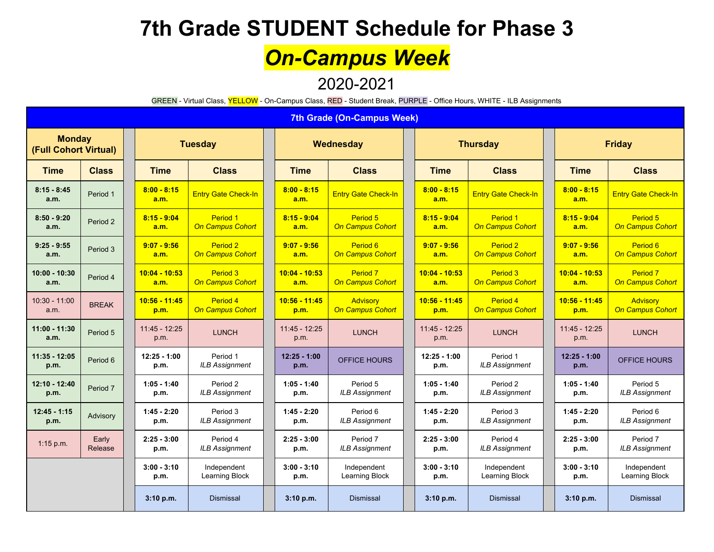# *On-Campus Week*

#### 2020-2021

GREEN - Virtual Class, YELLOW - On-Campus Class, RED - Student Break, PURPLE - Office Hours, WHITE - ILB Assignments

|                                        | <b>7th Grade (On-Campus Week)</b> |                         |                                     |                         |                                                |  |                         |                                                |  |                         |                                         |  |
|----------------------------------------|-----------------------------------|-------------------------|-------------------------------------|-------------------------|------------------------------------------------|--|-------------------------|------------------------------------------------|--|-------------------------|-----------------------------------------|--|
| <b>Monday</b><br>(Full Cohort Virtual) |                                   |                         | <b>Tuesday</b>                      |                         | Wednesday                                      |  |                         | <b>Thursday</b>                                |  |                         | <b>Friday</b>                           |  |
| <b>Time</b>                            | <b>Class</b>                      | <b>Time</b>             | <b>Class</b>                        | <b>Time</b>             | <b>Class</b>                                   |  | <b>Time</b>             | <b>Class</b>                                   |  | <b>Time</b>             | <b>Class</b>                            |  |
| $8:15 - 8:45$<br>a.m.                  | Period 1                          | $8:00 - 8:15$<br>a.m.   | <b>Entry Gate Check-In</b>          | $8:00 - 8:15$<br>a.m.   | <b>Entry Gate Check-In</b>                     |  | $8:00 - 8:15$<br>a.m.   | <b>Entry Gate Check-In</b>                     |  | $8:00 - 8:15$<br>a.m.   | <b>Entry Gate Check-In</b>              |  |
| $8:50 - 9:20$<br>a.m.                  | Period 2                          | $8:15 - 9:04$<br>a.m.   | Period 1<br><b>On Campus Cohort</b> | $8:15 - 9:04$<br>a.m.   | Period 5<br><b>On Campus Cohort</b>            |  | $8:15 - 9:04$<br>a.m.   | Period 1<br><b>On Campus Cohort</b>            |  | $8:15 - 9:04$<br>a.m.   | Period 5<br><b>On Campus Cohort</b>     |  |
| $9:25 - 9:55$<br>a.m.                  | Period 3                          | $9:07 - 9:56$<br>a.m.   | Period 2<br><b>On Campus Cohort</b> | $9:07 - 9:56$<br>a.m.   | Period 6<br><b>On Campus Cohort</b>            |  | $9:07 - 9:56$<br>a.m.   | Period <sub>2</sub><br><b>On Campus Cohort</b> |  | $9:07 - 9:56$<br>a.m.   | Period 6<br><b>On Campus Cohort</b>     |  |
| $10:00 - 10:30$<br>a.m.                | Period 4                          | $10:04 - 10:53$<br>a.m. | Period 3<br><b>On Campus Cohort</b> | $10:04 - 10:53$<br>a.m. | Period <sub>7</sub><br><b>On Campus Cohort</b> |  | $10:04 - 10:53$<br>a.m. | Period 3<br><b>On Campus Cohort</b>            |  | $10:04 - 10:53$<br>a.m. | Period <sub>7</sub><br>On Campus Cohort |  |
| $10:30 - 11:00$<br>a.m.                | <b>BREAK</b>                      | 10:56 - 11:45<br>p.m.   | Period 4<br><b>On Campus Cohort</b> | 10:56 - 11:45<br>p.m.   | Advisory<br><b>On Campus Cohort</b>            |  | $10:56 - 11:45$<br>p.m. | Period 4<br><b>On Campus Cohort</b>            |  | $10:56 - 11:45$<br>p.m. | Advisory<br>On Campus Cohort            |  |
| 11:00 - 11:30<br>a.m.                  | Period 5                          | $11:45 - 12:25$<br>p.m. | <b>LUNCH</b>                        | $11:45 - 12:25$<br>p.m. | <b>LUNCH</b>                                   |  | $11:45 - 12:25$<br>p.m. | <b>LUNCH</b>                                   |  | $11:45 - 12:25$<br>p.m. | <b>LUNCH</b>                            |  |
| $11:35 - 12:05$<br>p.m.                | Period 6                          | $12:25 - 1:00$<br>p.m.  | Period 1<br><b>ILB Assignment</b>   | $12:25 - 1:00$<br>p.m.  | <b>OFFICE HOURS</b>                            |  | $12:25 - 1:00$<br>p.m.  | Period 1<br><b>ILB Assignment</b>              |  | $12:25 - 1:00$<br>p.m.  | <b>OFFICE HOURS</b>                     |  |
| 12:10 - 12:40<br>p.m.                  | Period 7                          | $1:05 - 1:40$<br>p.m.   | Period 2<br><b>ILB Assignment</b>   | $1:05 - 1:40$<br>p.m.   | Period 5<br><b>ILB Assignment</b>              |  | $1:05 - 1:40$<br>p.m.   | Period 2<br><b>ILB Assignment</b>              |  | $1:05 - 1:40$<br>p.m.   | Period 5<br><b>ILB Assignment</b>       |  |
| $12:45 - 1:15$<br>p.m.                 | Advisory                          | $1:45 - 2:20$<br>p.m.   | Period 3<br><b>ILB Assignment</b>   | $1:45 - 2:20$<br>p.m.   | Period 6<br><b>ILB Assignment</b>              |  | $1:45 - 2:20$<br>p.m.   | Period 3<br><b>ILB Assignment</b>              |  | $1:45 - 2:20$<br>p.m.   | Period 6<br><b>ILB Assignment</b>       |  |
| $1:15$ p.m.                            | Early<br>Release                  | $2:25 - 3:00$<br>p.m.   | Period 4<br><b>ILB Assignment</b>   | $2:25 - 3:00$<br>p.m.   | Period 7<br><b>ILB Assignment</b>              |  | $2:25 - 3:00$<br>p.m.   | Period 4<br><b>ILB Assignment</b>              |  | $2:25 - 3:00$<br>p.m.   | Period 7<br><b>ILB Assignment</b>       |  |
|                                        |                                   | $3:00 - 3:10$<br>p.m.   | Independent<br>Learning Block       | $3:00 - 3:10$<br>p.m.   | Independent<br>Learning Block                  |  | $3:00 - 3:10$<br>p.m.   | Independent<br>Learning Block                  |  | $3:00 - 3:10$<br>p.m.   | Independent<br>Learning Block           |  |
|                                        |                                   | 3:10 p.m.               | <b>Dismissal</b>                    | 3:10 p.m.               | <b>Dismissal</b>                               |  | 3:10 p.m.               | <b>Dismissal</b>                               |  | 3:10 p.m.               | <b>Dismissal</b>                        |  |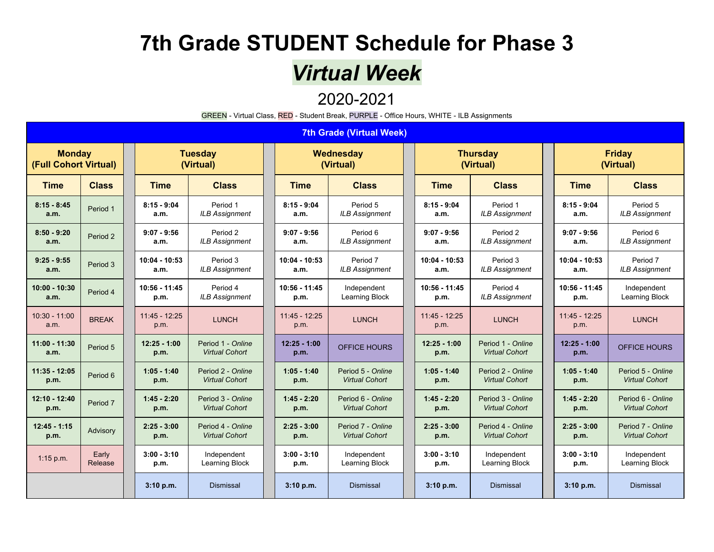## *Virtual Week*

#### 2020-2021

|                                        |                     |                         |                                            |  |                         | GREEN - Virtual Class, RED - Student Break, PURPLE - Office Hours, WHITE - ILB Assignments |                         |                                            |                            |                                            |  |  |
|----------------------------------------|---------------------|-------------------------|--------------------------------------------|--|-------------------------|--------------------------------------------------------------------------------------------|-------------------------|--------------------------------------------|----------------------------|--------------------------------------------|--|--|
|                                        |                     |                         |                                            |  |                         | <b>7th Grade (Virtual Week)</b>                                                            |                         |                                            |                            |                                            |  |  |
| <b>Monday</b><br>(Full Cohort Virtual) |                     |                         | <b>Tuesday</b><br>(Virtual)                |  |                         | Wednesday<br>(Virtual)                                                                     |                         | <b>Thursday</b><br>(Virtual)               | <b>Friday</b><br>(Virtual) |                                            |  |  |
| <b>Time</b>                            | <b>Class</b>        | <b>Time</b>             | <b>Class</b>                               |  | <b>Time</b>             | <b>Class</b>                                                                               | <b>Time</b>             | <b>Class</b>                               | <b>Time</b>                | <b>Class</b>                               |  |  |
| $8:15 - 8:45$<br>a.m.                  | Period 1            | $8:15 - 9:04$<br>a.m.   | Period 1<br><b>ILB Assignment</b>          |  | $8:15 - 9:04$<br>a.m.   | Period 5<br><b>ILB Assignment</b>                                                          | $8:15 - 9:04$<br>a.m.   | Period 1<br><b>ILB Assignment</b>          | $8:15 - 9:04$<br>a.m.      | Period 5<br><b>ILB Assignment</b>          |  |  |
| $8:50 - 9:20$<br>a.m.                  | Period 2            | $9:07 - 9:56$<br>a.m.   | Period 2<br><b>ILB Assignment</b>          |  | $9:07 - 9:56$<br>a.m.   | Period 6<br><b>ILB Assignment</b>                                                          | $9:07 - 9:56$<br>a.m.   | Period 2<br><b>ILB Assignment</b>          | $9:07 - 9:56$<br>a.m.      | Period 6<br><b>ILB Assignment</b>          |  |  |
| $9:25 - 9:55$<br>a.m.                  | Period 3            | 10:04 - 10:53<br>a.m.   | Period 3<br><b>ILB Assignment</b>          |  | $10:04 - 10:53$<br>a.m. | Period 7<br><b>ILB Assignment</b>                                                          | $10:04 - 10:53$<br>a.m. | Period 3<br><b>ILB Assignment</b>          | $10:04 - 10:53$<br>a.m.    | Period 7<br><b>ILB Assignment</b>          |  |  |
| 10:00 - 10:30<br>a.m.                  | Period 4            | $10:56 - 11:45$<br>p.m. | Period 4<br><b>ILB Assignment</b>          |  | $10:56 - 11:45$<br>p.m. | Independent<br>Learning Block                                                              | $10:56 - 11:45$<br>p.m. | Period 4<br><b>ILB Assignment</b>          | $10:56 - 11:45$<br>p.m.    | Independent<br>Learning Block              |  |  |
| 10:30 - 11:00<br>a.m.                  | <b>BREAK</b>        | 11:45 - 12:25<br>p.m.   | <b>LUNCH</b>                               |  | $11:45 - 12:25$<br>p.m. | <b>LUNCH</b>                                                                               | $11:45 - 12:25$<br>p.m. | <b>LUNCH</b>                               | $11:45 - 12:25$<br>p.m.    | <b>LUNCH</b>                               |  |  |
| 11:00 - 11:30<br>a.m.                  | Period 5            | $12:25 - 1:00$<br>p.m.  | Period 1 - Online<br><b>Virtual Cohort</b> |  | $12:25 - 1:00$<br>p.m.  | <b>OFFICE HOURS</b>                                                                        | $12:25 - 1:00$<br>p.m.  | Period 1 - Online<br><b>Virtual Cohort</b> | $12:25 - 1:00$<br>p.m.     | <b>OFFICE HOURS</b>                        |  |  |
| 11:35 - 12:05<br>p.m.                  | Period 6            | $1:05 - 1:40$<br>p.m.   | Period 2 - Online<br><b>Virtual Cohort</b> |  | $1:05 - 1:40$<br>p.m.   | Period 5 - Online<br><b>Virtual Cohort</b>                                                 | $1:05 - 1:40$<br>p.m.   | Period 2 - Online<br><b>Virtual Cohort</b> | $1:05 - 1:40$<br>p.m.      | Period 5 - Online<br><b>Virtual Cohort</b> |  |  |
| 12:10 - 12:40<br>p.m.                  | Period <sub>7</sub> | $1:45 - 2:20$<br>p.m.   | Period 3 - Online<br><b>Virtual Cohort</b> |  | $1:45 - 2:20$<br>p.m.   | Period 6 - Online<br><b>Virtual Cohort</b>                                                 | $1:45 - 2:20$<br>p.m.   | Period 3 - Online<br><b>Virtual Cohort</b> | $1:45 - 2:20$<br>p.m.      | Period 6 - Online<br><b>Virtual Cohort</b> |  |  |
| $12:45 - 1:15$<br>p.m.                 | Advisory            | $2:25 - 3:00$<br>p.m.   | Period 4 - Online<br><b>Virtual Cohort</b> |  | $2:25 - 3:00$<br>p.m.   | Period 7 - Online<br><b>Virtual Cohort</b>                                                 | $2:25 - 3:00$<br>p.m.   | Period 4 - Online<br><b>Virtual Cohort</b> | $2:25 - 3:00$<br>p.m.      | Period 7 - Online<br><b>Virtual Cohort</b> |  |  |
| $1:15$ p.m.                            | Early<br>Release    | $3:00 - 3:10$<br>p.m.   | Independent<br>Learning Block              |  | $3:00 - 3:10$<br>p.m.   | Independent<br>Learning Block                                                              | $3:00 - 3:10$<br>p.m.   | Independent<br>Learning Block              | $3:00 - 3:10$<br>p.m.      | Independent<br>Learning Block              |  |  |
|                                        |                     | 3:10 p.m.               | <b>Dismissal</b>                           |  | 3:10 p.m.               | <b>Dismissal</b>                                                                           | 3:10 p.m.               | <b>Dismissal</b>                           | 3:10 p.m.                  | <b>Dismissal</b>                           |  |  |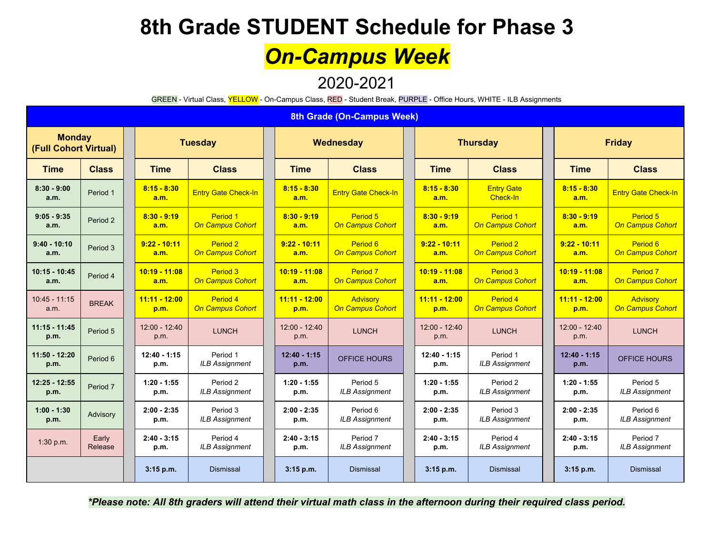## *On-Campus Week*

#### 2020-2021

GREEN - Virtual Class, YELLOW - On-Campus Class, RED - Student Break, PURPLE - Office Hours, WHITE - ILB Assignments

|                                        | 8th Grade (On-Campus Week) |                         |                                     |  |                         |                                                |  |                         |                                     |  |                         |                                                |  |  |
|----------------------------------------|----------------------------|-------------------------|-------------------------------------|--|-------------------------|------------------------------------------------|--|-------------------------|-------------------------------------|--|-------------------------|------------------------------------------------|--|--|
| <b>Monday</b><br>(Full Cohort Virtual) |                            |                         | <b>Tuesday</b>                      |  | Wednesday               |                                                |  |                         | <b>Thursday</b>                     |  | <b>Friday</b>           |                                                |  |  |
| <b>Time</b>                            | <b>Class</b>               | <b>Time</b>             | <b>Class</b>                        |  | <b>Time</b>             | <b>Class</b>                                   |  | <b>Time</b>             | <b>Class</b>                        |  | <b>Time</b>             | <b>Class</b>                                   |  |  |
| $8:30 - 9:00$<br>a.m.                  | Period 1                   | $8:15 - 8:30$<br>a.m.   | <b>Entry Gate Check-In</b>          |  | $8:15 - 8:30$<br>a.m.   | <b>Entry Gate Check-In</b>                     |  | $8:15 - 8:30$<br>a.m.   | <b>Entry Gate</b><br>Check-In       |  | $8:15 - 8:30$<br>a.m.   | <b>Entry Gate Check-In</b>                     |  |  |
| $9:05 - 9:35$<br>a.m.                  | Period 2                   | $8:30 - 9:19$<br>a.m.   | Period 1<br><b>On Campus Cohort</b> |  | $8:30 - 9:19$<br>a.m.   | Period 5<br><b>On Campus Cohort</b>            |  | $8:30 - 9:19$<br>a.m.   | Period 1<br><b>On Campus Cohort</b> |  | $8:30 - 9:19$<br>a.m.   | Period 5<br><b>On Campus Cohort</b>            |  |  |
| $9:40 - 10:10$<br>a.m.                 | Period 3                   | $9:22 - 10:11$<br>a.m.  | Period 2<br><b>On Campus Cohort</b> |  | $9:22 - 10:11$<br>a.m.  | Period <sub>6</sub><br><b>On Campus Cohort</b> |  | $9:22 - 10:11$<br>a.m.  | Period 2<br>On Campus Cohort        |  | $9:22 - 10:11$<br>a.m.  | Period <sub>6</sub><br><b>On Campus Cohort</b> |  |  |
| $10:15 - 10:45$<br>a.m.                | Period 4                   | $10:19 - 11:08$<br>a.m. | Period 3<br><b>On Campus Cohort</b> |  | $10:19 - 11:08$<br>a.m. | Period <sub>7</sub><br><b>On Campus Cohort</b> |  | $10:19 - 11:08$<br>a.m. | Period 3<br><b>On Campus Cohort</b> |  | $10:19 - 11:08$<br>a.m. | Period <sub>7</sub><br><b>On Campus Cohort</b> |  |  |
| $10:45 - 11:15$<br>a.m.                | <b>BREAK</b>               | $11:11 - 12:00$<br>p.m. | Period 4<br><b>On Campus Cohort</b> |  | $11:11 - 12:00$<br>p.m. | Advisory<br>On Campus Cohort                   |  | $11:11 - 12:00$<br>p.m. | Period 4<br><b>On Campus Cohort</b> |  | $11:11 - 12:00$<br>p.m. | <b>Advisory</b><br><b>On Campus Cohort</b>     |  |  |
| $11:15 - 11:45$<br>p.m.                | Period 5                   | $12:00 - 12:40$<br>p.m. | <b>LUNCH</b>                        |  | $12:00 - 12:40$<br>p.m. | <b>LUNCH</b>                                   |  | $12:00 - 12:40$<br>p.m. | <b>LUNCH</b>                        |  | $12:00 - 12:40$<br>p.m. | <b>LUNCH</b>                                   |  |  |
| 11:50 - 12:20<br>p.m.                  | Period 6                   | $12:40 - 1:15$<br>p.m.  | Period 1<br><b>ILB Assignment</b>   |  | $12:40 - 1:15$<br>p.m.  | OFFICE HOURS                                   |  | $12:40 - 1:15$<br>p.m.  | Period 1<br><b>ILB Assignment</b>   |  | $12:40 - 1:15$<br>p.m.  | <b>OFFICE HOURS</b>                            |  |  |
| 12:25 - 12:55<br>p.m.                  | Period <sub>7</sub>        | $1:20 - 1:55$<br>p.m.   | Period 2<br><b>ILB Assignment</b>   |  | $1:20 - 1:55$<br>p.m.   | Period 5<br><b>ILB Assignment</b>              |  | $1:20 - 1:55$<br>p.m.   | Period 2<br><b>ILB Assignment</b>   |  | $1:20 - 1:55$<br>p.m.   | Period 5<br><b>ILB Assignment</b>              |  |  |
| $1:00 - 1:30$<br>p.m.                  | Advisory                   | $2:00 - 2:35$<br>p.m.   | Period 3<br><b>ILB Assignment</b>   |  | $2:00 - 2:35$<br>p.m.   | Period 6<br><b>ILB Assignment</b>              |  | $2:00 - 2:35$<br>p.m.   | Period 3<br><b>ILB Assignment</b>   |  | $2:00 - 2:35$<br>p.m.   | Period 6<br><b>ILB Assignment</b>              |  |  |
| 1:30 p.m.                              | Early<br>Release           | $2:40 - 3:15$<br>p.m.   | Period 4<br><b>ILB Assignment</b>   |  | $2:40 - 3:15$<br>p.m.   | Period 7<br><b>ILB Assignment</b>              |  | $2:40 - 3:15$<br>p.m.   | Period 4<br><b>ILB Assignment</b>   |  | $2:40 - 3:15$<br>p.m.   | Period 7<br><b>ILB Assignment</b>              |  |  |
|                                        |                            | 3:15 p.m.               | <b>Dismissal</b>                    |  | $3:15$ p.m.             | <b>Dismissal</b>                               |  | $3:15$ p.m.             | <b>Dismissal</b>                    |  | $3:15$ p.m.             | <b>Dismissal</b>                               |  |  |

\*Please note: All 8th graders will attend their virtual math class in the afternoon during their required class period.